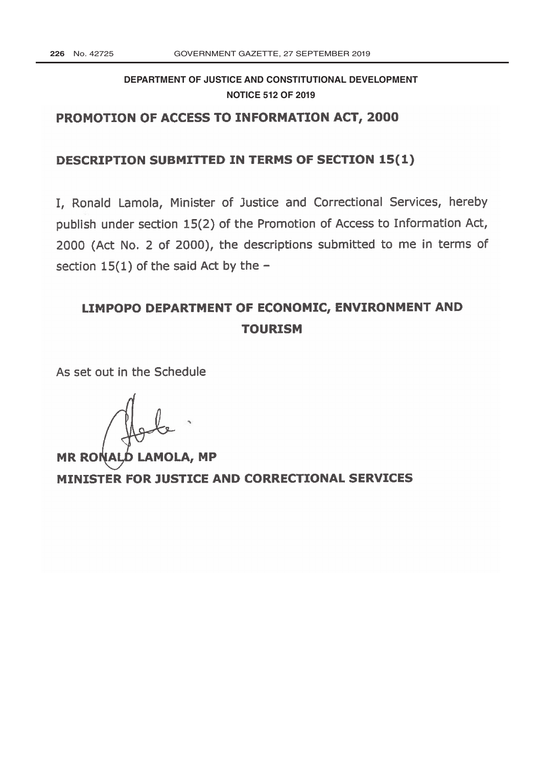# **[DEPARTMENT OF JUSTICE AND CONSTITUTIONAL DEVELOPMENT](http://www.greengazette.co.za/departments/justice) NOTICE 512 OF 2019**

## PROMOTION OF ACCESS TO INFORMATION ACT, 2000

### DESCRIPTION SUBMITTED IN TERMS OF SECTION 15(1)

I, Ronald Lamola, Minister of Justice and Correctional Services, hereby publish under section 15(2) of the Promotion of Access to Information Act, 2000 (Act No. 2 of 2000), the descriptions submitted to me in terms of section  $15(1)$  of the said Act by the -

# LIMPOPO DEPARTMENT OF ECONOMIC, ENVIRONMENT AND TOURISM

As set out in the Schedule

MR RONALD LAMOLA, MP MINISTER FOR JUSTICE AND CORRECTIONAL SERVICES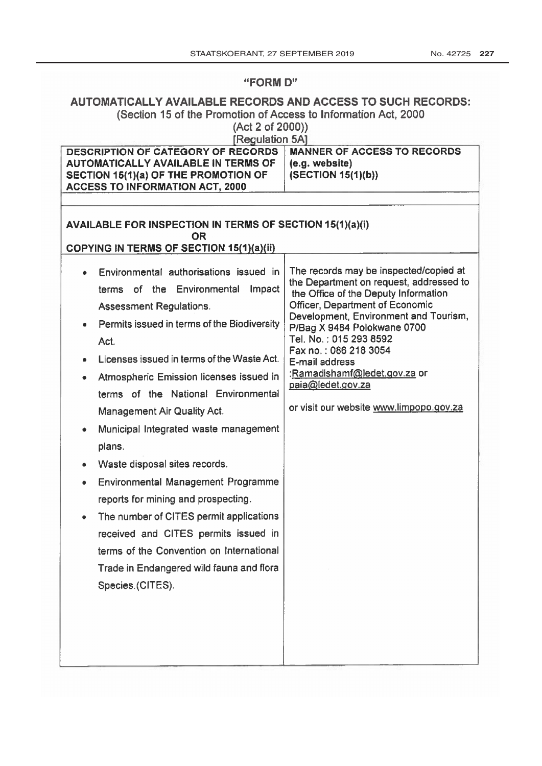#### **FORM D'**

## AUTOMATICALLY AVAILABLE RECORDS AND ACCESS TO SUCH RECORDS: (Section 15 of the Promotion of Access to Information Act, 2000

(Act 2 of 2000))

| <b>Regulation 5A1</b>                                                                                                                                                                                                                                                                                                                                                                                                                                                                                                                                                                                                                                                                                                                                                                                                                                                                                  |                                                                                                                                                                                                                                                                                                                                                                                                           |  |
|--------------------------------------------------------------------------------------------------------------------------------------------------------------------------------------------------------------------------------------------------------------------------------------------------------------------------------------------------------------------------------------------------------------------------------------------------------------------------------------------------------------------------------------------------------------------------------------------------------------------------------------------------------------------------------------------------------------------------------------------------------------------------------------------------------------------------------------------------------------------------------------------------------|-----------------------------------------------------------------------------------------------------------------------------------------------------------------------------------------------------------------------------------------------------------------------------------------------------------------------------------------------------------------------------------------------------------|--|
| <b>DESCRIPTION OF CATEGORY OF RECORDS</b><br><b>AUTOMATICALLY AVAILABLE IN TERMS OF</b><br>SECTION 15(1)(a) OF THE PROMOTION OF<br><b>ACCESS TO INFORMATION ACT, 2000</b>                                                                                                                                                                                                                                                                                                                                                                                                                                                                                                                                                                                                                                                                                                                              | <b>MANNER OF ACCESS TO RECORDS</b><br>(e.g. website)<br>(SECTION 15(1)(b))                                                                                                                                                                                                                                                                                                                                |  |
| <b>AVAILABLE FOR INSPECTION IN TERMS OF SECTION 15(1)(a)(i)</b><br><b>OR</b><br><b>COPYING IN TERMS OF SECTION 15(1)(a)(ii)</b><br>Environmental authorisations issued in<br>of the Environmental<br>Impact<br>terms<br><b>Assessment Regulations.</b><br>Permits issued in terms of the Biodiversity<br>۰<br>Act.<br>Licenses issued in terms of the Waste Act.<br>٠<br>Atmospheric Emission licenses issued in<br>٠<br>terms of the National Environmental<br>Management Air Quality Act.<br>Municipal Integrated waste management<br>۰<br>plans.<br>Waste disposal sites records.<br>۰<br><b>Environmental Management Programme</b><br>$\bullet$<br>reports for mining and prospecting.<br>The number of CITES permit applications<br>$\bullet$<br>received and CITES permits issued in<br>terms of the Convention on International<br>Trade in Endangered wild fauna and flora<br>Species.(CITES). | The records may be inspected/copied at<br>the Department on request, addressed to<br>the Office of the Deputy Information<br>Officer, Department of Economic<br>Development, Environment and Tourism,<br>P/Bag X 9484 Polokwane 0700<br>Tel. No.: 015 293 8592<br>Fax no.: 086 218 3054<br>E-mail address<br>:Ramadishamf@ledet.gov.za or<br>paia@ledet.gov.za<br>or visit our website www.limpopo.gov.za |  |
|                                                                                                                                                                                                                                                                                                                                                                                                                                                                                                                                                                                                                                                                                                                                                                                                                                                                                                        |                                                                                                                                                                                                                                                                                                                                                                                                           |  |